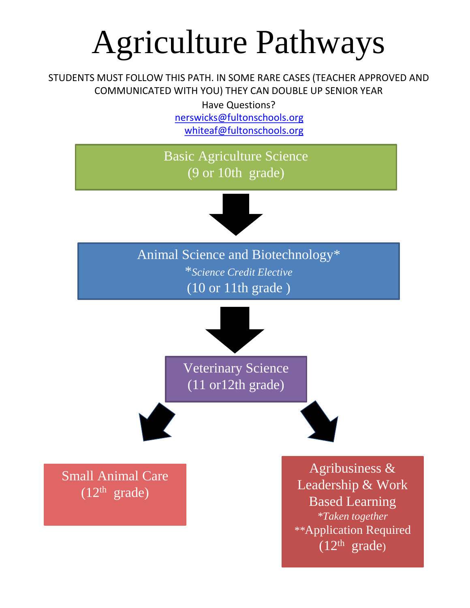### Agriculture Pathways

STUDENTS MUST FOLLOW THIS PATH. IN SOME RARE CASES (TEACHER APPROVED AND COMMUNICATED WITH YOU) THEY CAN DOUBLE UP SENIOR YEAR

Have Questions?

[nerswicks@fultonschools.org](mailto:nerswicks@fultonschools.org) [whiteaf@fultonschools.org](mailto:whiteaf@fultonschools.org)

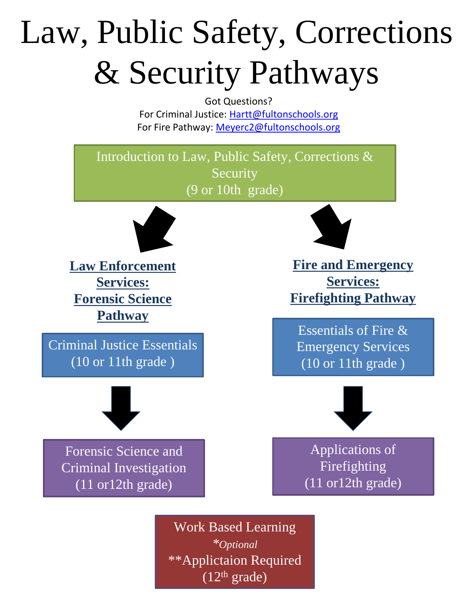# Law, Public Safety, Corrections & Security Pathways

Got Questions? For Criminal Justice: [Hartt@fultonschools.org](mailto:Hartt@fultonschools.org) For Fire Pathway: [Meyerc2@fultonschools.org](mailto:Meyerc2@fultonschools.org)

Introduction to Law, Public Safety, Corrections & **Security** (9 or 10th grade)



**Law Enforcement Services: Forensic Science Pathway**

Criminal Justice Essentials  $\overline{(10 \text{ or } 11 \text{th grade})}$ 



**Fire and Emergency Services: Firefighting Pathway**

Essentials of Fire & Emergency Services (10 or 11th grade )



Forensic Science and Criminal Investigation (11 or12th grade)



Applications of Firefighting  $\sqrt{(11 \text{ or } 12 \text{th } \text{grade})}$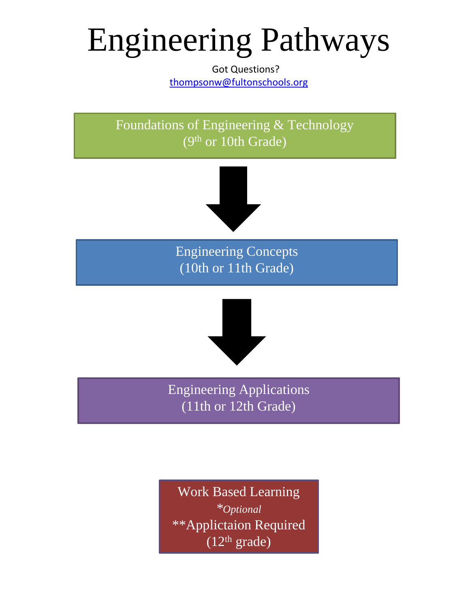### Engineering Pathways

Got Questions? [thompsonw@fultonschools.org](mailto:thoompsonw@fultonschools.org)

Foundations of Engineering & Technology (9th or 10th Grade)



Engineering Concepts (10th or 11th Grade)



Engineering Applications (11th or 12th Grade)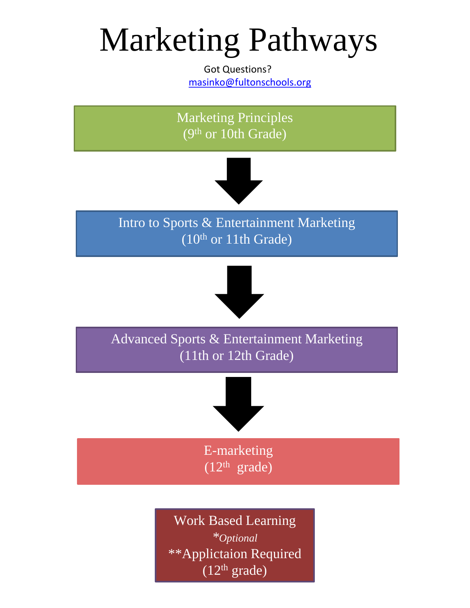### Marketing Pathways

Got Questions? [masinko@fultonschools.org](mailto:masinko@fultonschools.org)



\*\*Applictaion Required  $(12<sup>th</sup> grade)$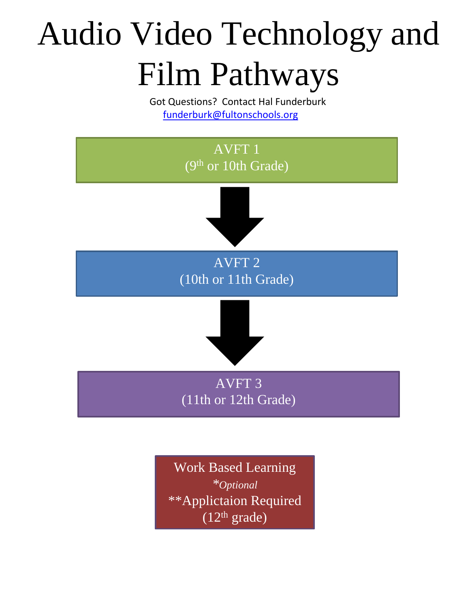# Audio Video Technology and Film Pathways

Got Questions? Contact Hal Funderburk [funderburk@fultonschools.org](mailto:funderburk@fultonschools.org)

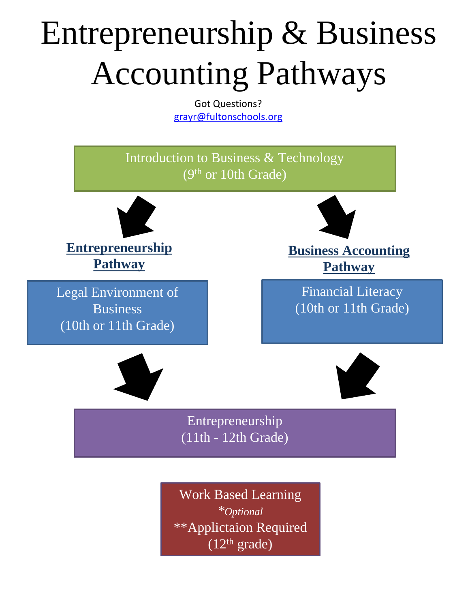## Entrepreneurship & Business Accounting Pathways

Got Questions? [grayr@fultonschools.org](mailto:grayr@fultonschools.org)